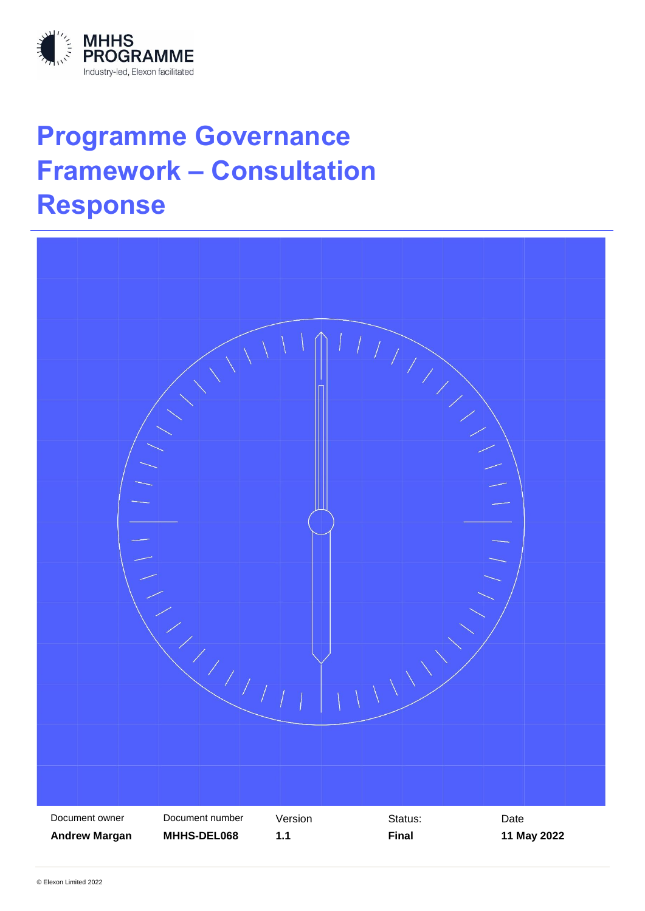

# **Programme Governance Framework – Consultation Response**

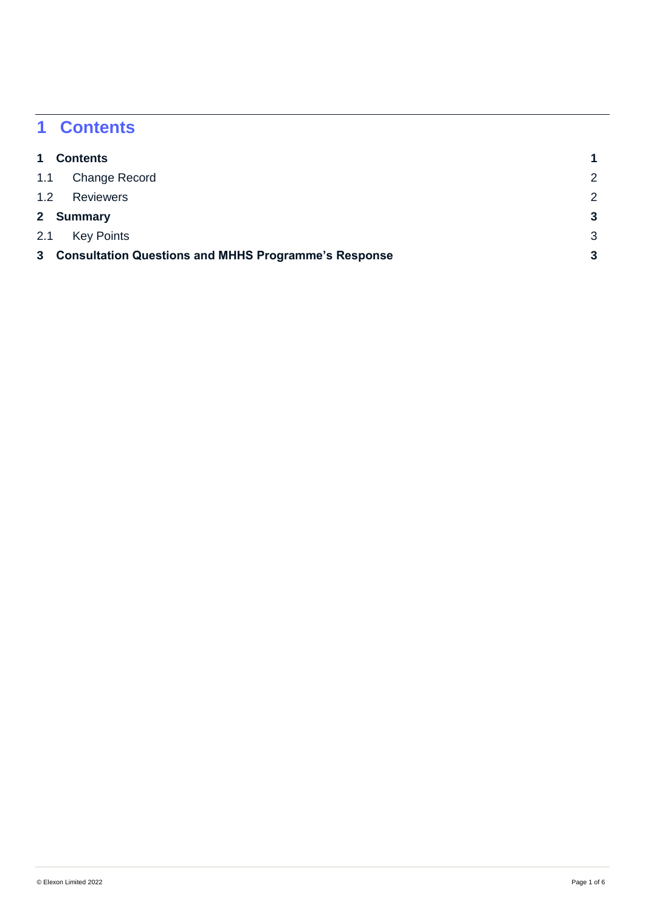## <span id="page-1-0"></span>**1 Contents**

| 1         | <b>Contents</b>                                        |   |
|-----------|--------------------------------------------------------|---|
| 1.1       | Change Record                                          | 2 |
| 1.2       | <b>Reviewers</b>                                       | 2 |
| 2 Summary |                                                        |   |
| 2.1       | <b>Key Points</b>                                      | 3 |
|           | 3 Consultation Questions and MHHS Programme's Response |   |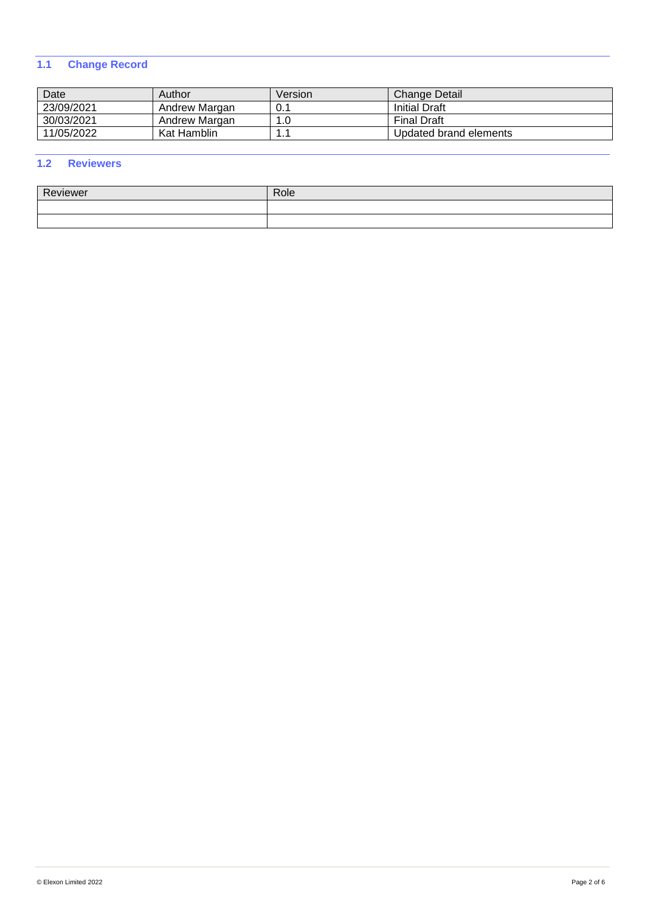### <span id="page-2-0"></span>**1.1 Change Record**

| Date       | Author        | Version | Change Detail          |
|------------|---------------|---------|------------------------|
| 23/09/2021 | Andrew Margan | 0.1     | <b>Initial Draft</b>   |
| 30/03/2021 | Andrew Margan | 1.0     | <b>Final Draft</b>     |
| 11/05/2022 | Kat Hamblin   | .       | Updated brand elements |

### <span id="page-2-1"></span>**1.2 Reviewers**

| D.<br>$\cdots$<br>viewer | Role |
|--------------------------|------|
|                          |      |
|                          |      |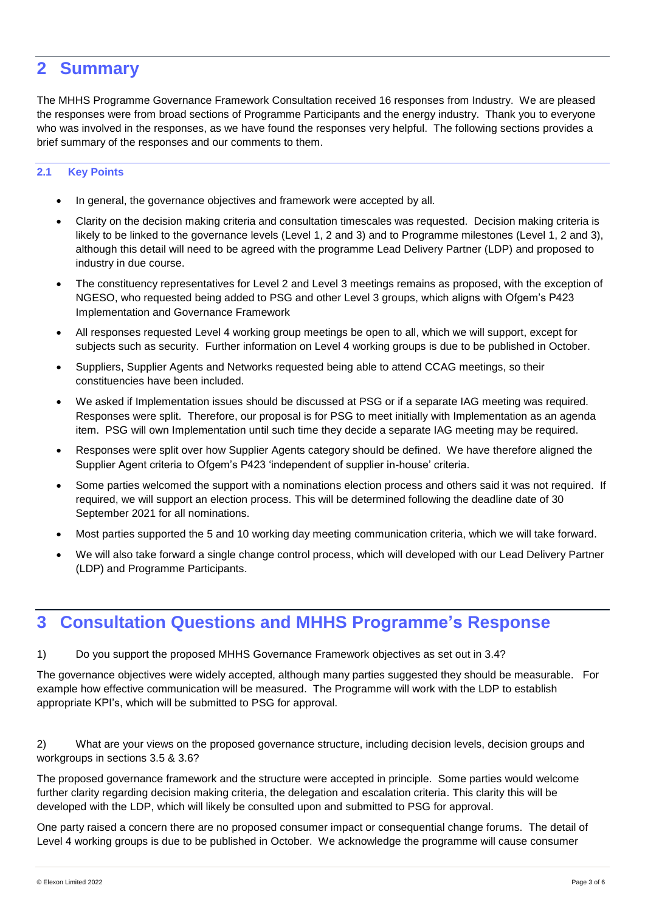### <span id="page-3-0"></span>**2 Summary**

The MHHS Programme Governance Framework Consultation received 16 responses from Industry. We are pleased the responses were from broad sections of Programme Participants and the energy industry. Thank you to everyone who was involved in the responses, as we have found the responses very helpful. The following sections provides a brief summary of the responses and our comments to them.

### <span id="page-3-1"></span>**2.1 Key Points**

- In general, the governance objectives and framework were accepted by all.
- Clarity on the decision making criteria and consultation timescales was requested. Decision making criteria is likely to be linked to the governance levels (Level 1, 2 and 3) and to Programme milestones (Level 1, 2 and 3), although this detail will need to be agreed with the programme Lead Delivery Partner (LDP) and proposed to industry in due course.
- The constituency representatives for Level 2 and Level 3 meetings remains as proposed, with the exception of NGESO, who requested being added to PSG and other Level 3 groups, which aligns with Ofgem's P423 Implementation and Governance Framework
- All responses requested Level 4 working group meetings be open to all, which we will support, except for subjects such as security. Further information on Level 4 working groups is due to be published in October.
- Suppliers, Supplier Agents and Networks requested being able to attend CCAG meetings, so their constituencies have been included.
- We asked if Implementation issues should be discussed at PSG or if a separate IAG meeting was required. Responses were split. Therefore, our proposal is for PSG to meet initially with Implementation as an agenda item. PSG will own Implementation until such time they decide a separate IAG meeting may be required.
- Responses were split over how Supplier Agents category should be defined. We have therefore aligned the Supplier Agent criteria to Ofgem's P423 'independent of supplier in-house' criteria.
- Some parties welcomed the support with a nominations election process and others said it was not required. If required, we will support an election process. This will be determined following the deadline date of 30 September 2021 for all nominations.
- Most parties supported the 5 and 10 working day meeting communication criteria, which we will take forward.
- We will also take forward a single change control process, which will developed with our Lead Delivery Partner (LDP) and Programme Participants.

### <span id="page-3-2"></span>**3 Consultation Questions and MHHS Programme's Response**

1) Do you support the proposed MHHS Governance Framework objectives as set out in 3.4?

The governance objectives were widely accepted, although many parties suggested they should be measurable. For example how effective communication will be measured. The Programme will work with the LDP to establish appropriate KPI's, which will be submitted to PSG for approval.

2) What are your views on the proposed governance structure, including decision levels, decision groups and workgroups in sections 3.5 & 3.6?

The proposed governance framework and the structure were accepted in principle. Some parties would welcome further clarity regarding decision making criteria, the delegation and escalation criteria. This clarity this will be developed with the LDP, which will likely be consulted upon and submitted to PSG for approval.

One party raised a concern there are no proposed consumer impact or consequential change forums. The detail of Level 4 working groups is due to be published in October. We acknowledge the programme will cause consumer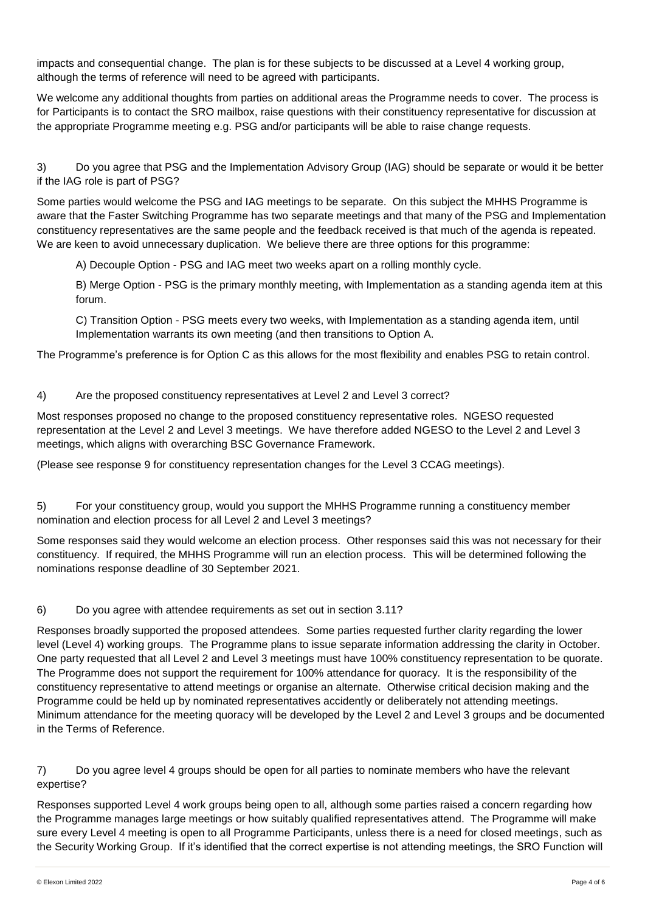impacts and consequential change. The plan is for these subjects to be discussed at a Level 4 working group, although the terms of reference will need to be agreed with participants.

We welcome any additional thoughts from parties on additional areas the Programme needs to cover. The process is for Participants is to contact the SRO mailbox, raise questions with their constituency representative for discussion at the appropriate Programme meeting e.g. PSG and/or participants will be able to raise change requests.

3) Do you agree that PSG and the Implementation Advisory Group (IAG) should be separate or would it be better if the IAG role is part of PSG?

Some parties would welcome the PSG and IAG meetings to be separate. On this subject the MHHS Programme is aware that the Faster Switching Programme has two separate meetings and that many of the PSG and Implementation constituency representatives are the same people and the feedback received is that much of the agenda is repeated. We are keen to avoid unnecessary duplication. We believe there are three options for this programme:

A) Decouple Option - PSG and IAG meet two weeks apart on a rolling monthly cycle.

B) Merge Option - PSG is the primary monthly meeting, with Implementation as a standing agenda item at this forum.

C) Transition Option - PSG meets every two weeks, with Implementation as a standing agenda item, until Implementation warrants its own meeting (and then transitions to Option A.

The Programme's preference is for Option C as this allows for the most flexibility and enables PSG to retain control.

### 4) Are the proposed constituency representatives at Level 2 and Level 3 correct?

Most responses proposed no change to the proposed constituency representative roles. NGESO requested representation at the Level 2 and Level 3 meetings. We have therefore added NGESO to the Level 2 and Level 3 meetings, which aligns with overarching BSC Governance Framework.

(Please see response 9 for constituency representation changes for the Level 3 CCAG meetings).

5) For your constituency group, would you support the MHHS Programme running a constituency member nomination and election process for all Level 2 and Level 3 meetings?

Some responses said they would welcome an election process. Other responses said this was not necessary for their constituency. If required, the MHHS Programme will run an election process. This will be determined following the nominations response deadline of 30 September 2021.

#### 6) Do you agree with attendee requirements as set out in section 3.11?

Responses broadly supported the proposed attendees. Some parties requested further clarity regarding the lower level (Level 4) working groups. The Programme plans to issue separate information addressing the clarity in October. One party requested that all Level 2 and Level 3 meetings must have 100% constituency representation to be quorate. The Programme does not support the requirement for 100% attendance for quoracy. It is the responsibility of the constituency representative to attend meetings or organise an alternate. Otherwise critical decision making and the Programme could be held up by nominated representatives accidently or deliberately not attending meetings. Minimum attendance for the meeting quoracy will be developed by the Level 2 and Level 3 groups and be documented in the Terms of Reference.

7) Do you agree level 4 groups should be open for all parties to nominate members who have the relevant expertise?

Responses supported Level 4 work groups being open to all, although some parties raised a concern regarding how the Programme manages large meetings or how suitably qualified representatives attend. The Programme will make sure every Level 4 meeting is open to all Programme Participants, unless there is a need for closed meetings, such as the Security Working Group. If it's identified that the correct expertise is not attending meetings, the SRO Function will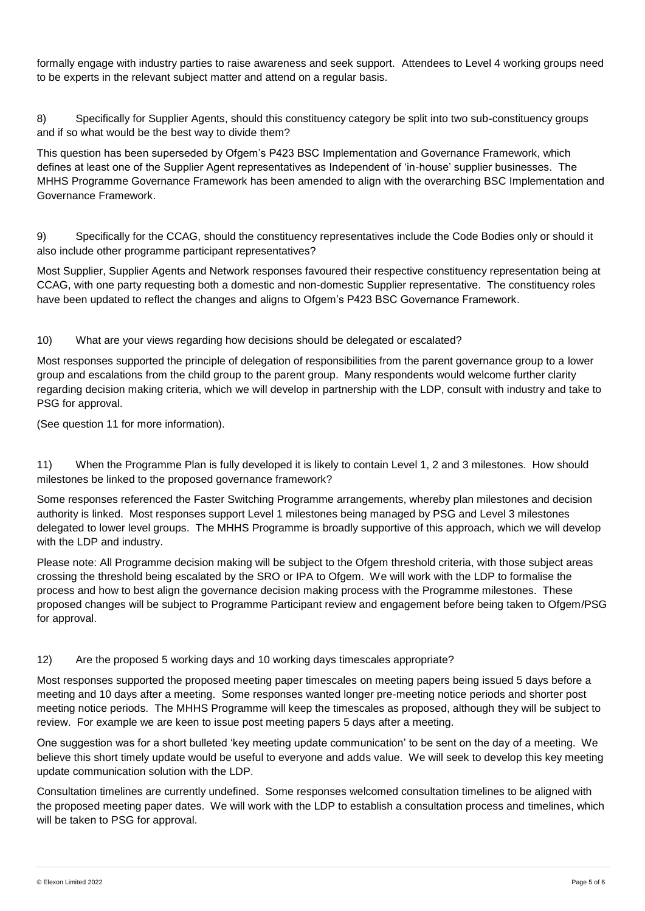formally engage with industry parties to raise awareness and seek support. Attendees to Level 4 working groups need to be experts in the relevant subject matter and attend on a regular basis.

8) Specifically for Supplier Agents, should this constituency category be split into two sub-constituency groups and if so what would be the best way to divide them?

This question has been superseded by Ofgem's P423 BSC Implementation and Governance Framework, which defines at least one of the Supplier Agent representatives as Independent of 'in-house' supplier businesses. The MHHS Programme Governance Framework has been amended to align with the overarching BSC Implementation and Governance Framework.

9) Specifically for the CCAG, should the constituency representatives include the Code Bodies only or should it also include other programme participant representatives?

Most Supplier, Supplier Agents and Network responses favoured their respective constituency representation being at CCAG, with one party requesting both a domestic and non-domestic Supplier representative. The constituency roles have been updated to reflect the changes and aligns to Ofgem's P423 BSC Governance Framework.

### 10) What are your views regarding how decisions should be delegated or escalated?

Most responses supported the principle of delegation of responsibilities from the parent governance group to a lower group and escalations from the child group to the parent group. Many respondents would welcome further clarity regarding decision making criteria, which we will develop in partnership with the LDP, consult with industry and take to PSG for approval.

(See question 11 for more information).

11) When the Programme Plan is fully developed it is likely to contain Level 1, 2 and 3 milestones. How should milestones be linked to the proposed governance framework?

Some responses referenced the Faster Switching Programme arrangements, whereby plan milestones and decision authority is linked. Most responses support Level 1 milestones being managed by PSG and Level 3 milestones delegated to lower level groups. The MHHS Programme is broadly supportive of this approach, which we will develop with the LDP and industry.

Please note: All Programme decision making will be subject to the Ofgem threshold criteria, with those subject areas crossing the threshold being escalated by the SRO or IPA to Ofgem. We will work with the LDP to formalise the process and how to best align the governance decision making process with the Programme milestones. These proposed changes will be subject to Programme Participant review and engagement before being taken to Ofgem/PSG for approval.

#### 12) Are the proposed 5 working days and 10 working days timescales appropriate?

Most responses supported the proposed meeting paper timescales on meeting papers being issued 5 days before a meeting and 10 days after a meeting. Some responses wanted longer pre-meeting notice periods and shorter post meeting notice periods. The MHHS Programme will keep the timescales as proposed, although they will be subject to review. For example we are keen to issue post meeting papers 5 days after a meeting.

One suggestion was for a short bulleted 'key meeting update communication' to be sent on the day of a meeting. We believe this short timely update would be useful to everyone and adds value. We will seek to develop this key meeting update communication solution with the LDP.

Consultation timelines are currently undefined. Some responses welcomed consultation timelines to be aligned with the proposed meeting paper dates. We will work with the LDP to establish a consultation process and timelines, which will be taken to PSG for approval.